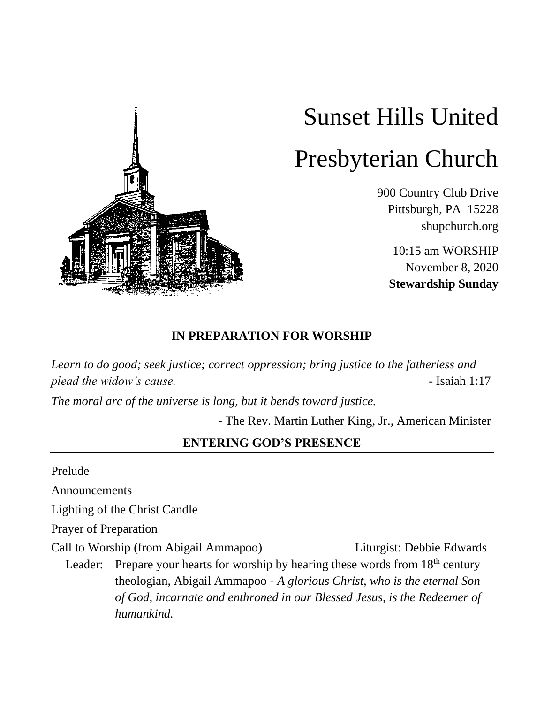

# Sunset Hills United Presbyterian Church

900 Country Club Drive Pittsburgh, PA 15228 shupchurch.org

10:15 am WORSHIP November 8, 2020 **Stewardship Sunday**

# **IN PREPARATION FOR WORSHIP**

*Learn to do good; seek justice; correct oppression; bring justice to the fatherless and plead the widow's cause.*  $\blacksquare$ 

*The moral arc of the universe is long, but it bends toward justice.*

- The Rev. Martin Luther King, Jr., American Minister

#### **ENTERING GOD'S PRESENCE**

Prelude

Announcements

Lighting of the Christ Candle

Prayer of Preparation

Call to Worship (from Abigail Ammapoo) Liturgist: Debbie Edwards

Leader: Prepare your hearts for worship by hearing these words from  $18<sup>th</sup>$  century theologian, Abigail Ammapoo - *A glorious Christ, who is the eternal Son of God, incarnate and enthroned in our Blessed Jesus, is the Redeemer of humankind.*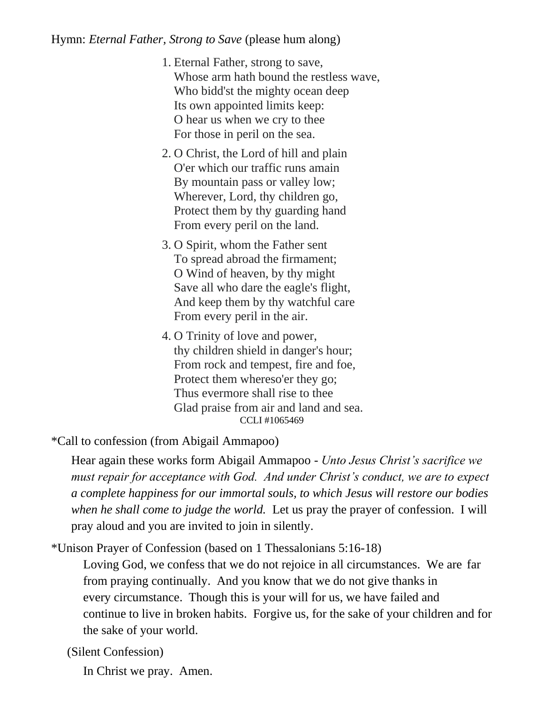#### Hymn: *Eternal Father, Strong to Save* (please hum along)

- 1. Eternal Father, strong to save, Whose arm hath bound the restless wave, Who bidd'st the mighty ocean deep Its own appointed limits keep: O hear us when we cry to thee For those in peril on the sea.
- 2. O Christ, the Lord of hill and plain O'er which our traffic runs amain By mountain pass or valley low; Wherever, Lord, thy children go, Protect them by thy guarding hand From every peril on the land.
- 3. O Spirit, whom the Father sent To spread abroad the firmament; O Wind of heaven, by thy might Save all who dare the eagle's flight, And keep them by thy watchful care From every peril in the air.
- 4. O Trinity of love and power, thy children shield in danger's hour; From rock and tempest, fire and foe, Protect them whereso'er they go; Thus evermore shall rise to thee Glad praise from air and land and sea. CCLI #1065469

\*Call to confession (from Abigail Ammapoo)

Hear again these works form Abigail Ammapoo - *Unto Jesus Christ's sacrifice we must repair for acceptance with God. And under Christ's conduct, we are to expect a complete happiness for our immortal souls, to which Jesus will restore our bodies when he shall come to judge the world.* Let us pray the prayer of confession. I will pray aloud and you are invited to join in silently.

\*Unison Prayer of Confession (based on 1 Thessalonians 5:16-18)

Loving God, we confess that we do not rejoice in all circumstances. We are far from praying continually. And you know that we do not give thanks in every circumstance. Though this is your will for us, we have failed and continue to live in broken habits. Forgive us, for the sake of your children and for the sake of your world.

(Silent Confession)

In Christ we pray. Amen.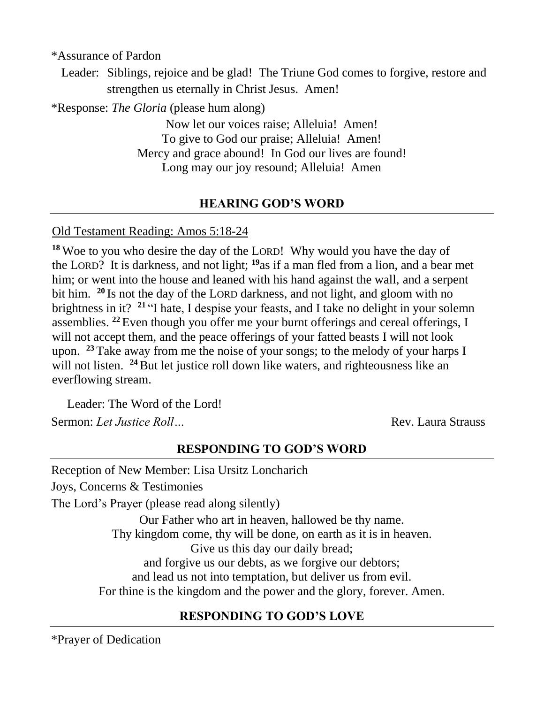\*Assurance of Pardon

Leader: Siblings, rejoice and be glad! The Triune God comes to forgive, restore and strengthen us eternally in Christ Jesus. Amen!

\*Response: *The Gloria* (please hum along)

Now let our voices raise; Alleluia! Amen! To give to God our praise; Alleluia! Amen! Mercy and grace abound! In God our lives are found! Long may our joy resound; Alleluia! Amen

#### **HEARING GOD'S WORD**

#### Old Testament Reading: Amos 5:18-24

**<sup>18</sup>** Woe to you who desire the day of the LORD! Why would you have the day of the LORD? It is darkness, and not light; **<sup>19</sup>**as if a man fled from a lion, and a bear met him; or went into the house and leaned with his hand against the wall, and a serpent bit him. **<sup>20</sup>** Is not the day of the LORD darkness, and not light, and gloom with no brightness in it? **<sup>21</sup>** "I hate, I despise your feasts, and I take no delight in your solemn assemblies. **<sup>22</sup>** Even though you offer me your burnt offerings and cereal offerings, I will not accept them, and the peace offerings of your fatted beasts I will not look upon. **<sup>23</sup>** Take away from me the noise of your songs; to the melody of your harps I will not listen. <sup>24</sup> But let justice roll down like waters, and righteousness like an everflowing stream.

Leader: The Word of the Lord! Sermon: *Let Justice Roll*…

#### **RESPONDING TO GOD'S WORD**

Reception of New Member: Lisa Ursitz Loncharich Joys, Concerns & Testimonies The Lord's Prayer (please read along silently) Our Father who art in heaven, hallowed be thy name. Thy kingdom come, thy will be done, on earth as it is in heaven. Give us this day our daily bread; and forgive us our debts, as we forgive our debtors; and lead us not into temptation, but deliver us from evil. For thine is the kingdom and the power and the glory, forever. Amen.

## **RESPONDING TO GOD'S LOVE**

\*Prayer of Dedication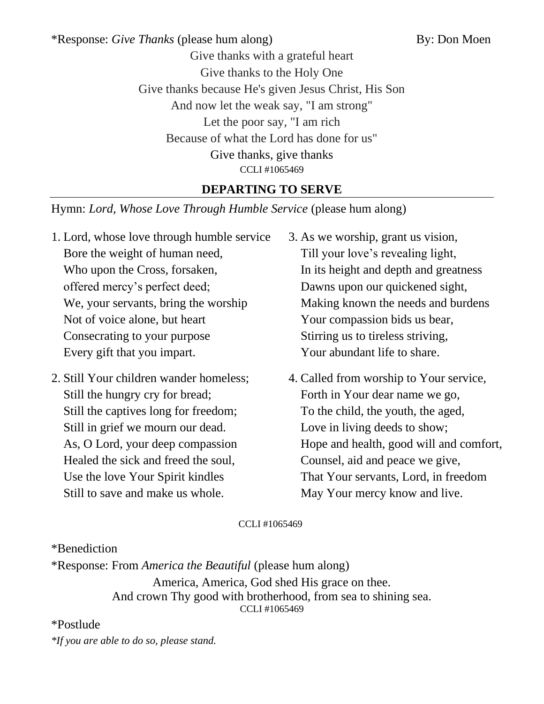\*Response: *Give Thanks* (please hum along) By: Don Moen Give thanks with a grateful heart Give thanks to the Holy One Give thanks because He's given Jesus Christ, His Son And now let the weak say, "I am strong" Let the poor say, "I am rich Because of what the Lord has done for us" Give thanks, give thanks CCLI #1065469

# **DEPARTING TO SERVE**

Hymn: *Lord, Whose Love Through Humble Service* (please hum along)

- 1. Lord, whose love through humble service Bore the weight of human need, Who upon the Cross, forsaken, offered mercy's perfect deed; We, your servants, bring the worship Not of voice alone, but heart Consecrating to your purpose Every gift that you impart.
- 2. Still Your children wander homeless; Still the hungry cry for bread; Still the captives long for freedom; Still in grief we mourn our dead. As, O Lord, your deep compassion Healed the sick and freed the soul, Use the love Your Spirit kindles Still to save and make us whole.
- 3. As we worship, grant us vision, Till your love's revealing light, In its height and depth and greatness Dawns upon our quickened sight, Making known the needs and burdens Your compassion bids us bear, Stirring us to tireless striving, Your abundant life to share.
- 4. Called from worship to Your service, Forth in Your dear name we go, To the child, the youth, the aged, Love in living deeds to show; Hope and health, good will and comfort, Counsel, aid and peace we give, That Your servants, Lord, in freedom May Your mercy know and live.

CCLI #1065469

\*Benediction

\*Response: From *America the Beautiful* (please hum along) America, America, God shed His grace on thee. And crown Thy good with brotherhood, from sea to shining sea. CCLI #1065469

## \*Postlude

*\*If you are able to do so, please stand.*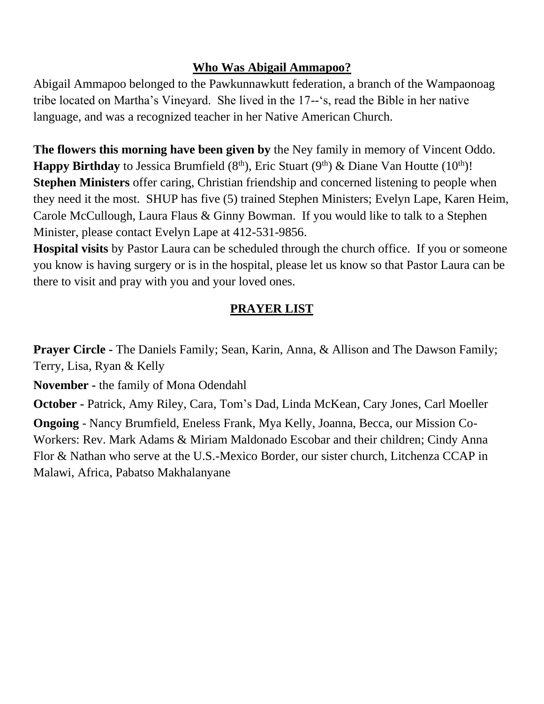# **Who Was Abigail Ammapoo?**

Abigail Ammapoo belonged to the Pawkunnawkutt federation, a branch of the Wampaonoag tribe located on Martha's Vineyard. She lived in the 17--'s, read the Bible in her native language, and was a recognized teacher in her Native American Church.

**The flowers this morning have been given by** the Ney family in memory of Vincent Oddo. **Happy Birthday** to Jessica Brumfield  $(8<sup>th</sup>)$ , Eric Stuart  $(9<sup>th</sup>)$  & Diane Van Houtte  $(10<sup>th</sup>)!$ **Stephen Ministers** offer caring, Christian friendship and concerned listening to people when they need it the most. SHUP has five (5) trained Stephen Ministers; Evelyn Lape, Karen Heim, Carole McCullough, Laura Flaus & Ginny Bowman. If you would like to talk to a Stephen Minister, please contact Evelyn Lape at 412-531-9856.

**Hospital visits** by Pastor Laura can be scheduled through the church office. If you or someone you know is having surgery or is in the hospital, please let us know so that Pastor Laura can be there to visit and pray with you and your loved ones.

# **PRAYER LIST**

**Prayer Circle -** The Daniels Family; Sean, Karin, Anna, & Allison and The Dawson Family; Terry, Lisa, Ryan & Kelly

**November -** the family of Mona Odendahl

**October -** Patrick, Amy Riley, Cara, Tom's Dad, Linda McKean, Cary Jones, Carl Moeller

**Ongoing** - Nancy Brumfield, Eneless Frank, Mya Kelly, Joanna, Becca, our Mission Co-Workers: Rev. Mark Adams & Miriam Maldonado Escobar and their children; Cindy Anna Flor & Nathan who serve at the U.S.-Mexico Border, our sister church, Litchenza CCAP in Malawi, Africa, Pabatso Makhalanyane